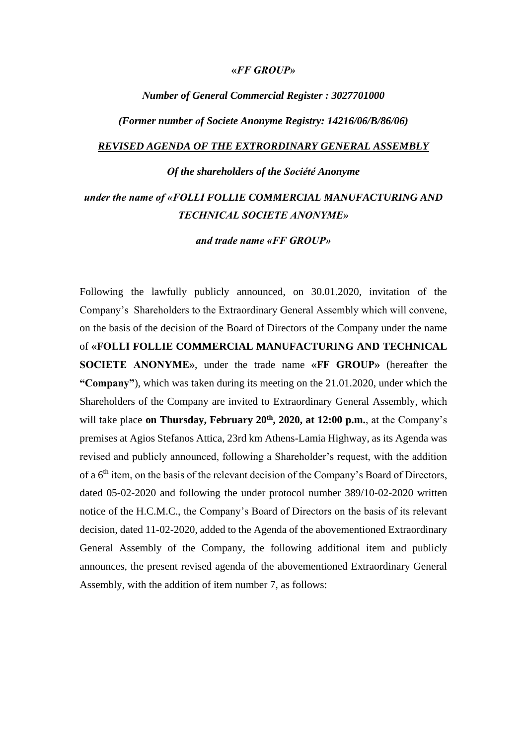## **«***FF GROUP»*

## *Νumber of General Commercial Register : 3027701000*

*(Former number οf Societe Anonyme Registry: 14216/06/B/86/06)*

#### *REVISED AGENDA OF THE EXTRORDINARY GENERAL ASSEMBLY*

# *Οf the shareholders of the Société Anonyme*

# *under the name of «FOLLI FOLLIE COMMERCIAL MANUFACTURING AND TECHNICAL SOCIETE ANONYME»*

*and trade name «FF GROUP»*

Following the lawfully publicly announced, on 30.01.2020, invitation of the Company's Shareholders to the Extraordinary General Assembly which will convene, on the basis of the decision of the Board of Directors of the Company under the name of **«FOLLI FOLLIE COMMERCIAL MANUFACTURING AND TECHNICAL SOCIETE ANONYME»**, under the trade name **«FF GROUP»** (hereafter the **"Company"**), which was taken during its meeting on the 21.01.2020, under which the Shareholders of the Company are invited to Extraordinary General Assembly, which will take place **on Thursday, February 20th , 2020, at 12:00 p.m.**, at the Company's premises at Agios Stefanos Attica, 23rd km Athens-Lamia Highway, as its Agenda was revised and publicly announced, following a Shareholder's request, with the addition of a  $6<sup>th</sup>$  item, on the basis of the relevant decision of the Company's Board of Directors, dated 05-02-2020 and following the under protocol number 389/10-02-2020 written notice of the H.C.M.C., the Company's Board of Directors on the basis of its relevant decision, dated 11-02-2020, added to the Agenda of the abovementioned Extraordinary General Assembly of the Company, the following additional item and publicly announces, the present revised agenda of the abovementioned Extraordinary General Assembly, with the addition of item number 7, as follows: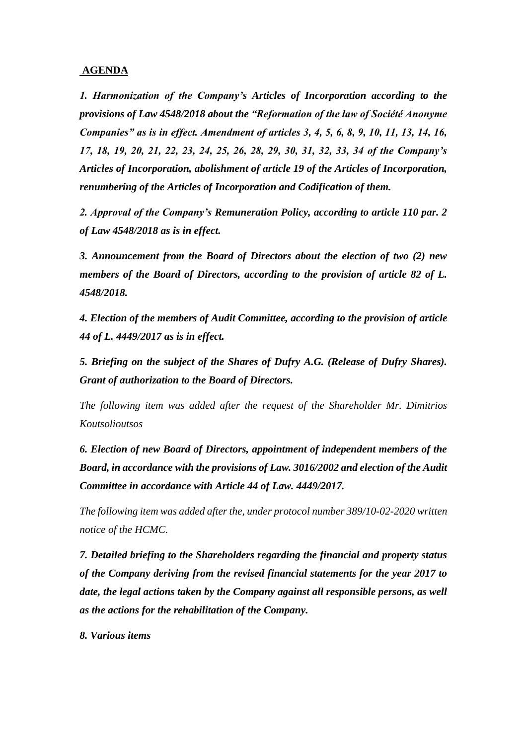# **AGENDA**

*1. Harmonization of the Company's Articles of Incorporation according to the provisions of Law 4548/2018 about the "Reformation of the law of Société Anonyme Companies" as is in effect. Amendment of articles 3, 4, 5, 6, 8, 9, 10, 11, 13, 14, 16, 17, 18, 19, 20, 21, 22, 23, 24, 25, 26, 28, 29, 30, 31, 32, 33, 34 of the Company's Articles of Incorporation, abolishment of article 19 of the Articles of Incorporation, renumbering of the Articles of Incorporation and Codification of them.*

*2. Approval of the Company's Remuneration Policy, according to article 110 par. 2 of Law 4548/2018 as is in effect.*

*3. Announcement from the Board of Directors about the election of two (2) new members of the Board of Directors, according to the provision of article 82 of L. 4548/2018.*

*4. Election of the members of Audit Committee, according to the provision of article 44 of L. 4449/2017 as is in effect.*

*5. Briefing on the subject of the Shares of Dufry A.G. (Release of Dufry Shares). Grant of authorization to the Board of Directors.*

*The following item was added after the request of the Shareholder Mr. Dimitrios Koutsolioutsos*

*6. Election of new Board of Directors, appointment of independent members of the Board, in accordance with the provisions of Law. 3016/2002 and election of the Audit Committee in accordance with Article 44 of Law. 4449/2017.*

*The following item was added after the, under protocol number 389/10-02-2020 written notice of the HCMC.*

*7. Detailed briefing to the Shareholders regarding the financial and property status of the Company deriving from the revised financial statements for the year 2017 to date, the legal actions taken by the Company against all responsible persons, as well as the actions for the rehabilitation of the Company.*

*8. Various items*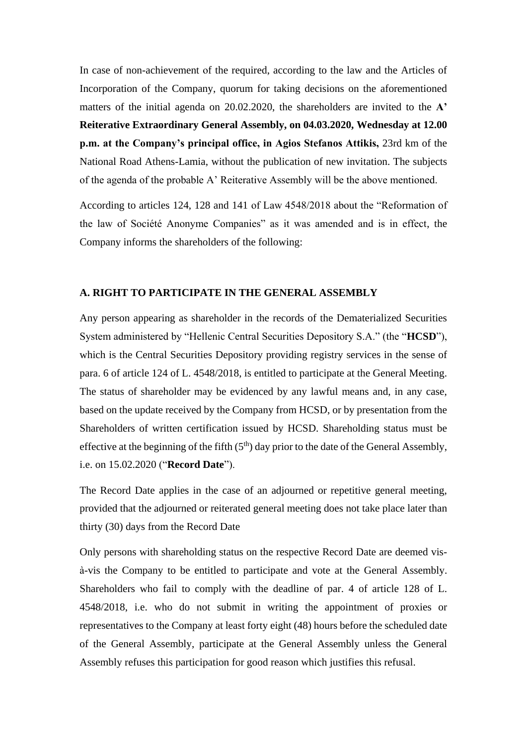In case of non-achievement οf the required, according to the law and the Articles of Incorporation of the Company, quorum for taking decisions on the aforementioned matters of the initial agenda on 20.02.2020, the shareholders are invited to the **A' Reiterative Extraordinary General Assembly, on 04.03.2020, Wednesday at 12.00 p.m. at the Company's principal office, in Agios Stefanos Attikis,** 23rd km of the National Road Athens-Lamia, without the publication of new invitation. The subjects of the agenda of the probable A' Reiterative Assembly will be the above mentioned.

According to articles 124, 128 and 141 οf Law 4548/2018 about the "Reformation of the law of Société Anonyme Companies" as it was amended and is in effect, the Company informs the shareholders of the following:

#### **A. RIGHT TO PARTICIPATE IN THE GENERAL ASSEMBLY**

Any person appearing as shareholder in the records of the Dematerialized Securities System administered by "Hellenic Central Securities Depository S.A." (the "**HCSD**"), which is the Central Securities Depository providing registry services in the sense of para. 6 of article 124 of L. 4548/2018, is entitled to participate at the General Meeting. The status of shareholder may be evidenced by any lawful means and, in any case, based on the update received by the Company from HCSD, or by presentation from the Shareholders of written certification issued by HCSD. Shareholding status must be effective at the beginning of the fifth  $(5<sup>th</sup>)$  day prior to the date of the General Assembly, i.e. on 15.02.2020 ("**Record Date**").

The Record Date applies in the case of an adjourned or repetitive general meeting, provided that the adjourned or reiterated general meeting does not take place later than thirty (30) days from the Record Date

Only persons with shareholding status on the respective Record Date are deemed visà-vis the Company to be entitled to participate and vote at the General Assembly. Shareholders who fail to comply with the deadline of par. 4 of article 128 of L. 4548/2018, i.e. who do not submit in writing the appointment of proxies or representatives to the Company at least forty eight (48) hours before the scheduled date of the General Assembly, participate at the General Assembly unless the General Assembly refuses this participation for good reason which justifies this refusal.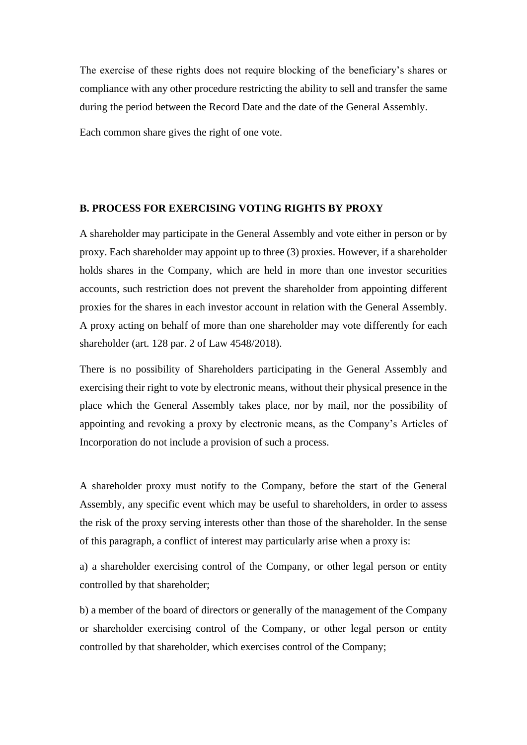The exercise of these rights does not require blocking of the beneficiary's shares or compliance with any other procedure restricting the ability to sell and transfer the same during the period between the Record Date and the date of the General Assembly.

Each common share gives the right of one vote.

#### **B. PROCESS FOR EXERCISING VOTING RIGHTS BY PROXY**

A shareholder may participate in the General Assembly and vote either in person or by proxy. Each shareholder may appoint up to three (3) proxies. However, if a shareholder holds shares in the Company, which are held in more than one investor securities accounts, such restriction does not prevent the shareholder from appointing different proxies for the shares in each investor account in relation with the General Assembly. A proxy acting on behalf of more than one shareholder may vote differently for each shareholder (art. 128 par. 2 of Law 4548/2018).

There is no possibility of Shareholders participating in the General Assembly and exercising their right to vote by electronic means, without their physical presence in the place which the General Assembly takes place, nor by mail, nor the possibility of appointing and revoking a proxy by electronic means, as the Company's Articles of Incorporation do not include a provision of such a process.

A shareholder proxy must notify to the Company, before the start of the General Assembly, any specific event which may be useful to shareholders, in order to assess the risk of the proxy serving interests other than those of the shareholder. In the sense of this paragraph, a conflict of interest may particularly arise when a proxy is:

a) a shareholder exercising control of the Company, or other legal person or entity controlled by that shareholder;

b) a member of the board of directors or generally of the management of the Company or shareholder exercising control of the Company, or other legal person or entity controlled by that shareholder, which exercises control of the Company;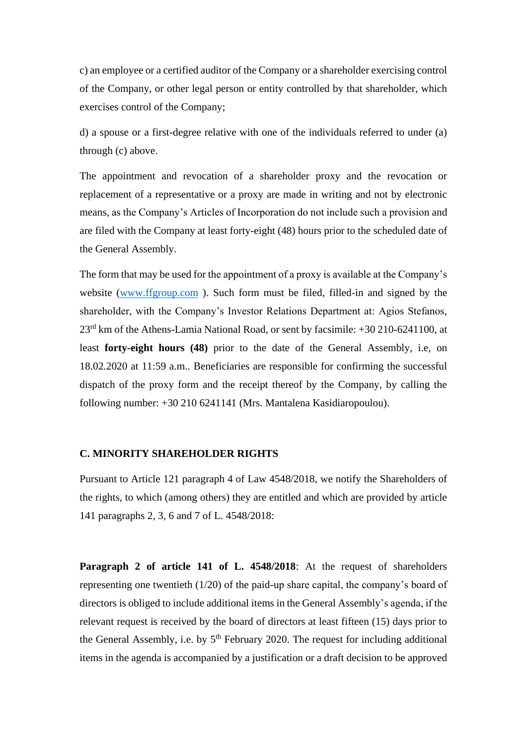c) an employee or a certified auditor of the Company or a shareholder exercising control of the Company, or other legal person or entity controlled by that shareholder, which exercises control of the Company;

d) a spouse or a first-degree relative with one of the individuals referred to under (a) through (c) above.

The appointment and revocation of a shareholder proxy and the revocation or replacement of a representative or a proxy are made in writing and not by electronic means, as the Company's Articles of Incorporation do not include such a provision and are filed with the Company at least forty-eight (48) hours prior to the scheduled date of the General Assembly.

The form that may be used for the appointment of a proxy is available at the Company's website [\(www.ffgroup.com](http://www.ffgroup.com/) ). Such form must be filed, filled-in and signed by the shareholder, with the Company's Investor Relations Department at: Agios Stefanos, 23rd km of the Athens-Lamia National Road, or sent by facsimile: +30 210-6241100, at least **forty-eight hours (48)** prior to the date of the General Assembly, i.e, on 18.02.2020 at 11:59 a.m.. Beneficiaries are responsible for confirming the successful dispatch of the proxy form and the receipt thereof by the Company, by calling the following number: +30 210 6241141 (Mrs. Mantalena Kasidiaropoulou).

# **C. MINORITY SHAREHOLDER RIGHTS**

Pursuant to Article 121 paragraph 4 of Law 4548/2018, we notify the Shareholders of the rights, to which (among others) they are entitled and which are provided by article 141 paragraphs 2, 3, 6 and 7 of L. 4548/2018:

**Paragraph 2 of article 141 of L. 4548/2018**: At the request of shareholders representing one twentieth (1/20) of the paid-up share capital, the company's board of directors is obliged to include additional items in the General Assembly's agenda, if the relevant request is received by the board of directors at least fifteen (15) days prior to the General Assembly, i.e. by  $5<sup>th</sup>$  February 2020. The request for including additional items in the agenda is accompanied by a justification or a draft decision to be approved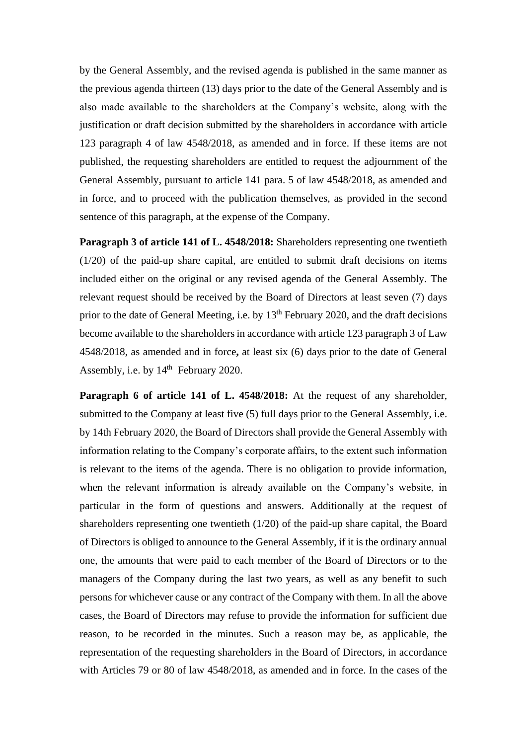by the General Assembly, and the revised agenda is published in the same manner as the previous agenda thirteen (13) days prior to the date of the General Assembly and is also made available to the shareholders at the Company's website, along with the justification or draft decision submitted by the shareholders in accordance with article 123 paragraph 4 of law 4548/2018, as amended and in force. If these items are not published, the requesting shareholders are entitled to request the adjournment of the General Assembly, pursuant to article 141 para. 5 of law 4548/2018, as amended and in force, and to proceed with the publication themselves, as provided in the second sentence of this paragraph, at the expense of the Company.

**Paragraph 3 of article 141 of L. 4548/2018:** Shareholders representing one twentieth (1/20) of the paid-up share capital, are entitled to submit draft decisions on items included either on the original or any revised agenda of the General Assembly. The relevant request should be received by the Board of Directors at least seven (7) days prior to the date of General Meeting, i.e. by  $13<sup>th</sup>$  February 2020, and the draft decisions become available to the shareholders in accordance with article 123 paragraph 3 of Law 4548/2018, as amended and in force**,** at least six (6) days prior to the date of General Assembly, i.e. by  $14<sup>th</sup>$  February 2020.

**Paragraph 6 of article 141 of L. 4548/2018:** At the request of any shareholder, submitted to the Company at least five (5) full days prior to the General Assembly, i.e. by 14th February 2020, the Board of Directors shall provide the General Assembly with information relating to the Company's corporate affairs, to the extent such information is relevant to the items of the agenda. There is no obligation to provide information, when the relevant information is already available on the Company's website, in particular in the form of questions and answers. Additionally at the request of shareholders representing one twentieth (1/20) of the paid-up share capital, the Board of Directors is obliged to announce to the General Assembly, if it is the ordinary annual one, the amounts that were paid to each member of the Board of Directors or to the managers of the Company during the last two years, as well as any benefit to such persons for whichever cause or any contract of the Company with them. In all the above cases, the Board of Directors may refuse to provide the information for sufficient due reason, to be recorded in the minutes. Such a reason may be, as applicable, the representation of the requesting shareholders in the Board of Directors, in accordance with Articles 79 or 80 of law 4548/2018, as amended and in force. In the cases of the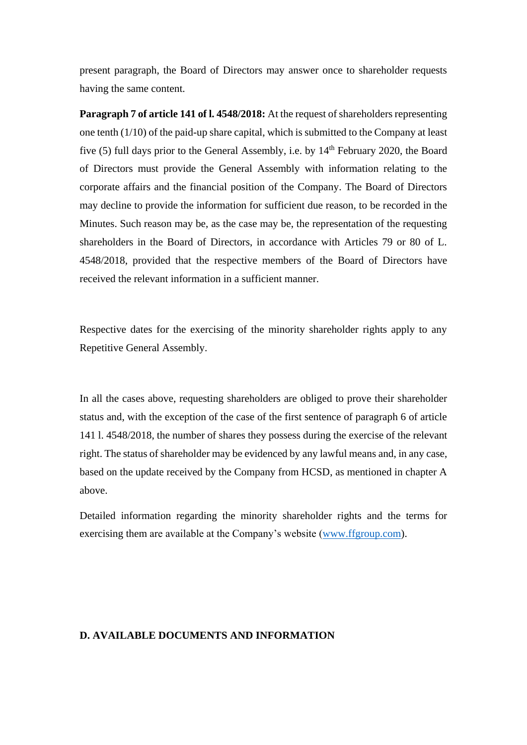present paragraph, the Board of Directors may answer once to shareholder requests having the same content.

**Paragraph 7 of article 141 of l. 4548/2018:** At the request of shareholders representing one tenth (1/10) of the paid-up share capital, which is submitted to the Company at least five (5) full days prior to the General Assembly, i.e. by 14<sup>th</sup> February 2020, the Board of Directors must provide the General Assembly with information relating to the corporate affairs and the financial position of the Company. The Board of Directors may decline to provide the information for sufficient due reason, to be recorded in the Minutes. Such reason may be, as the case may be, the representation of the requesting shareholders in the Board of Directors, in accordance with Articles 79 or 80 of L. 4548/2018, provided that the respective members of the Board of Directors have received the relevant information in a sufficient manner.

Respective dates for the exercising of the minority shareholder rights apply to any Repetitive General Assembly.

In all the cases above, requesting shareholders are obliged to prove their shareholder status and, with the exception of the case of the first sentence of paragraph 6 of article 141 l. 4548/2018, the number of shares they possess during the exercise of the relevant right. The status of shareholder may be evidenced by any lawful means and, in any case, based on the update received by the Company from HCSD, as mentioned in chapter A above.

Detailed information regarding the minority shareholder rights and the terms for exercising them are available at the Company's website [\(www.ffgroup.com\)](http://www.ffgroup.com/).

## **D. AVAILABLE DOCUMENTS AND INFORMATION**